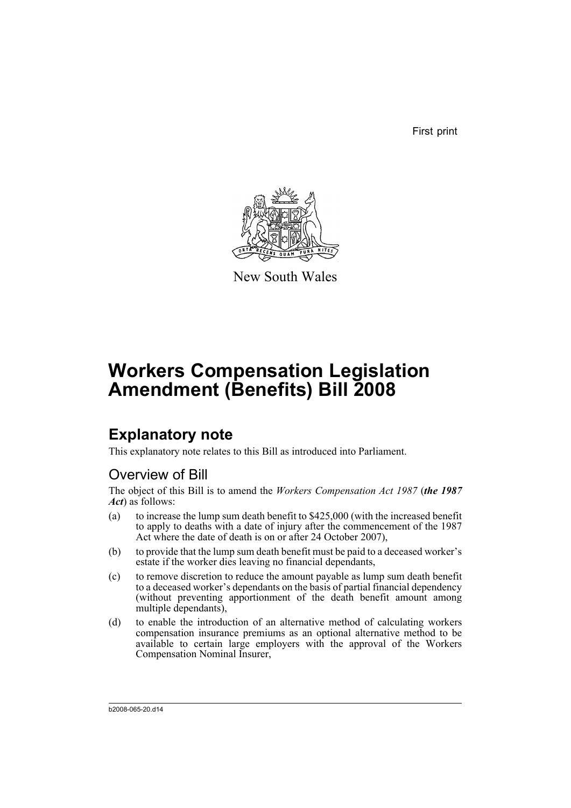First print



New South Wales

# **Workers Compensation Legislation Amendment (Benefits) Bill 2008**

# **Explanatory note**

This explanatory note relates to this Bill as introduced into Parliament.

## Overview of Bill

The object of this Bill is to amend the *Workers Compensation Act 1987* (*the 1987 Act*) as follows:

- (a) to increase the lump sum death benefit to \$425,000 (with the increased benefit to apply to deaths with a date of injury after the commencement of the 1987 Act where the date of death is on or after 24 October 2007),
- (b) to provide that the lump sum death benefit must be paid to a deceased worker's estate if the worker dies leaving no financial dependants,
- (c) to remove discretion to reduce the amount payable as lump sum death benefit to a deceased worker's dependants on the basis of partial financial dependency (without preventing apportionment of the death benefit amount among multiple dependants),
- (d) to enable the introduction of an alternative method of calculating workers compensation insurance premiums as an optional alternative method to be available to certain large employers with the approval of the Workers Compensation Nominal Insurer,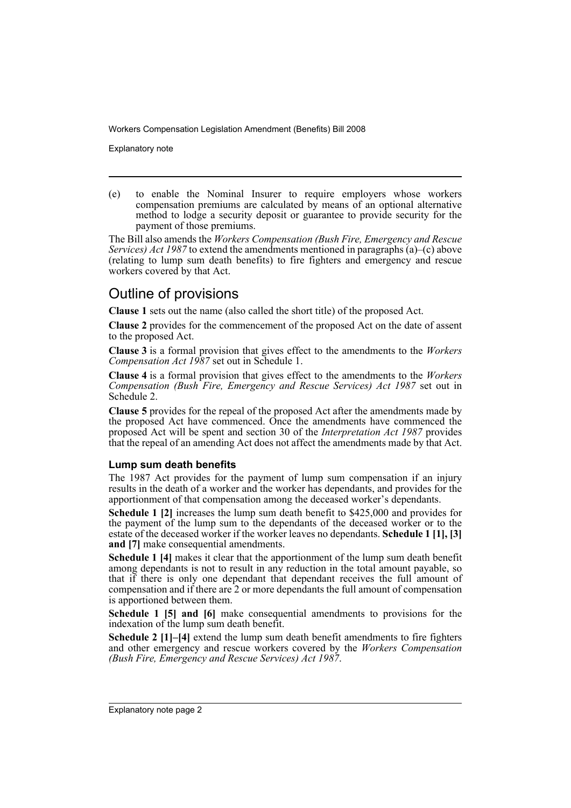Explanatory note

(e) to enable the Nominal Insurer to require employers whose workers compensation premiums are calculated by means of an optional alternative method to lodge a security deposit or guarantee to provide security for the payment of those premiums.

The Bill also amends the *Workers Compensation (Bush Fire, Emergency and Rescue Services) Act 1987* to extend the amendments mentioned in paragraphs (a)–(c) above (relating to lump sum death benefits) to fire fighters and emergency and rescue workers covered by that Act.

## Outline of provisions

**Clause 1** sets out the name (also called the short title) of the proposed Act.

**Clause 2** provides for the commencement of the proposed Act on the date of assent to the proposed Act.

**Clause 3** is a formal provision that gives effect to the amendments to the *Workers Compensation Act 1987* set out in Schedule 1.

**Clause 4** is a formal provision that gives effect to the amendments to the *Workers Compensation (Bush Fire, Emergency and Rescue Services) Act 1987* set out in Schedule 2.

**Clause 5** provides for the repeal of the proposed Act after the amendments made by the proposed Act have commenced. Once the amendments have commenced the proposed Act will be spent and section 30 of the *Interpretation Act 1987* provides that the repeal of an amending Act does not affect the amendments made by that Act.

### **Lump sum death benefits**

The 1987 Act provides for the payment of lump sum compensation if an injury results in the death of a worker and the worker has dependants, and provides for the apportionment of that compensation among the deceased worker's dependants.

**Schedule 1 [2]** increases the lump sum death benefit to \$425,000 and provides for the payment of the lump sum to the dependants of the deceased worker or to the estate of the deceased worker if the worker leaves no dependants. **Schedule 1 [1], [3] and [7]** make consequential amendments.

**Schedule 1 [4]** makes it clear that the apportionment of the lump sum death benefit among dependants is not to result in any reduction in the total amount payable, so that if there is only one dependant that dependant receives the full amount of compensation and if there are 2 or more dependants the full amount of compensation is apportioned between them.

**Schedule 1 [5] and [6]** make consequential amendments to provisions for the indexation of the lump sum death benefit.

**Schedule 2 [1]–[4]** extend the lump sum death benefit amendments to fire fighters and other emergency and rescue workers covered by the *Workers Compensation (Bush Fire, Emergency and Rescue Services) Act 1987*.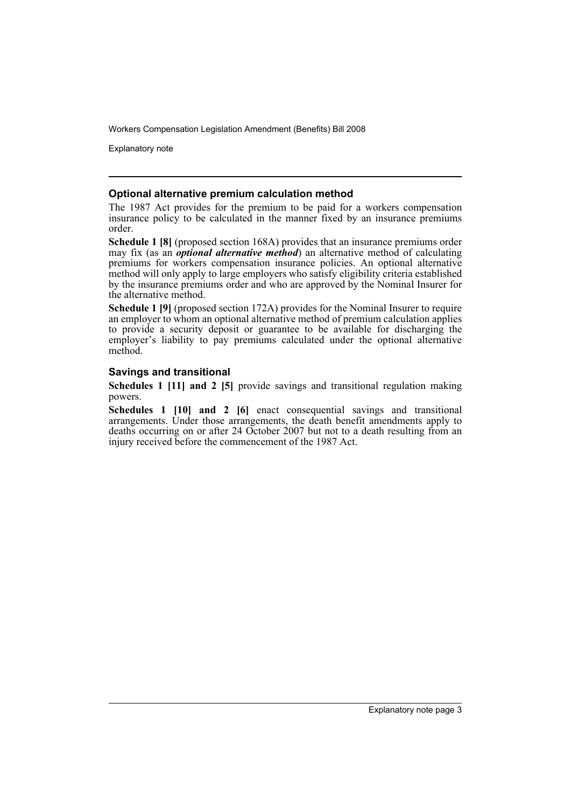Explanatory note

#### **Optional alternative premium calculation method**

The 1987 Act provides for the premium to be paid for a workers compensation insurance policy to be calculated in the manner fixed by an insurance premiums order.

**Schedule 1 [8]** (proposed section 168A) provides that an insurance premiums order may fix (as an *optional alternative method*) an alternative method of calculating premiums for workers compensation insurance policies. An optional alternative method will only apply to large employers who satisfy eligibility criteria established by the insurance premiums order and who are approved by the Nominal Insurer for the alternative method.

**Schedule 1 [9]** (proposed section 172A) provides for the Nominal Insurer to require an employer to whom an optional alternative method of premium calculation applies to provide a security deposit or guarantee to be available for discharging the employer's liability to pay premiums calculated under the optional alternative method.

### **Savings and transitional**

**Schedules 1 [11] and 2 [5]** provide savings and transitional regulation making powers.

**Schedules 1 [10] and 2 [6]** enact consequential savings and transitional arrangements. Under those arrangements, the death benefit amendments apply to deaths occurring on or after 24 October 2007 but not to a death resulting from an injury received before the commencement of the 1987 Act.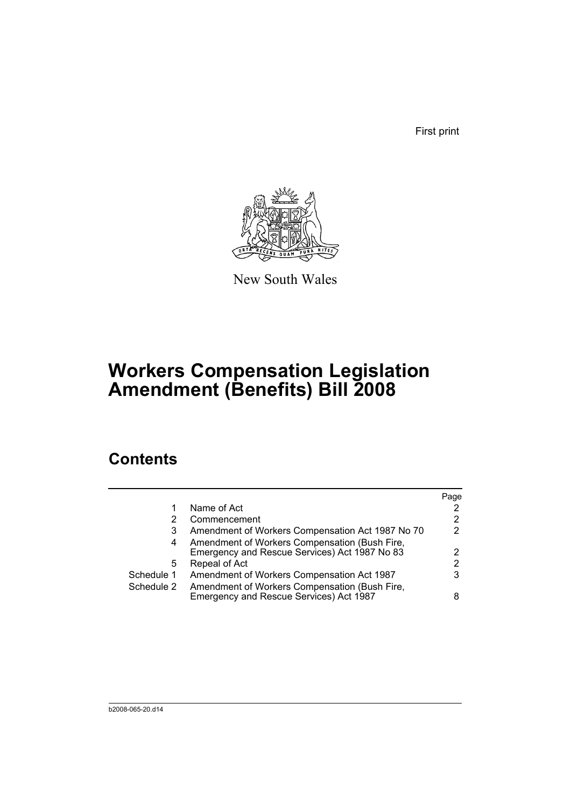First print



New South Wales

# **Workers Compensation Legislation Amendment (Benefits) Bill 2008**

## **Contents**

|            |                                                  | Page |
|------------|--------------------------------------------------|------|
|            | Name of Act                                      |      |
| 2          | Commencement                                     |      |
| 3          | Amendment of Workers Compensation Act 1987 No 70 | 2    |
| 4          | Amendment of Workers Compensation (Bush Fire,    |      |
|            | Emergency and Rescue Services) Act 1987 No 83    |      |
| 5          | Repeal of Act                                    | 2    |
| Schedule 1 | Amendment of Workers Compensation Act 1987       |      |
| Schedule 2 | Amendment of Workers Compensation (Bush Fire,    |      |
|            | Emergency and Rescue Services) Act 1987          |      |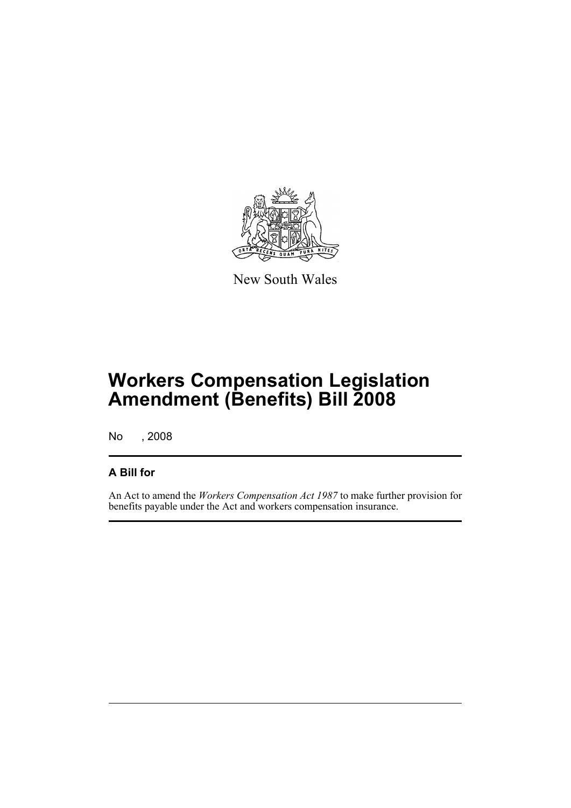

New South Wales

# **Workers Compensation Legislation Amendment (Benefits) Bill 2008**

No , 2008

## **A Bill for**

An Act to amend the *Workers Compensation Act 1987* to make further provision for benefits payable under the Act and workers compensation insurance.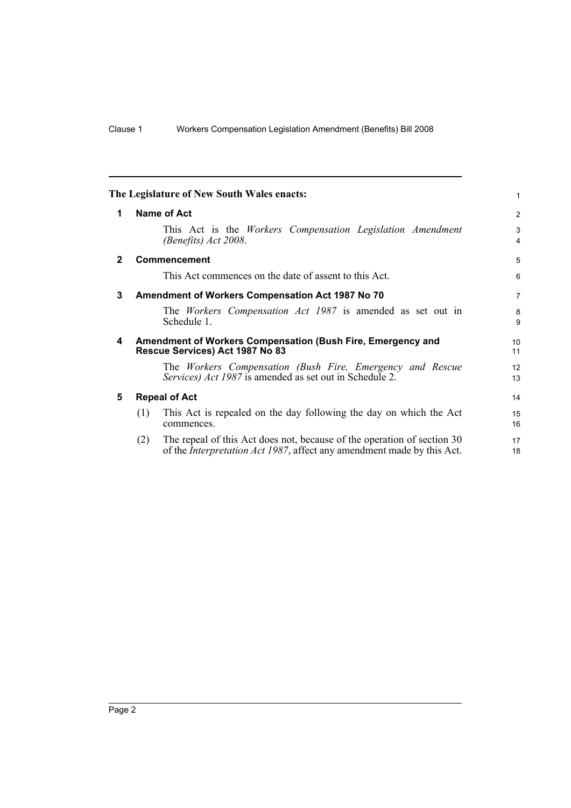<span id="page-7-4"></span><span id="page-7-3"></span><span id="page-7-2"></span><span id="page-7-1"></span><span id="page-7-0"></span>

|                |                      | The Legislature of New South Wales enacts:                                                                                                                | 1              |  |
|----------------|----------------------|-----------------------------------------------------------------------------------------------------------------------------------------------------------|----------------|--|
| 1              | Name of Act          |                                                                                                                                                           |                |  |
|                |                      | This Act is the <i>Workers</i> Compensation Legislation Amendment<br>(Benefits) Act 2008.                                                                 | 3<br>4         |  |
| $\overline{2}$ |                      | <b>Commencement</b>                                                                                                                                       | 5              |  |
|                |                      | This Act commences on the date of assent to this Act.                                                                                                     | 6              |  |
| 3              |                      | Amendment of Workers Compensation Act 1987 No 70                                                                                                          | $\overline{7}$ |  |
|                |                      | The <i>Workers</i> Compensation Act 1987 is amended as set out in<br>Schedule 1.                                                                          | 8<br>9         |  |
| 4              |                      | Amendment of Workers Compensation (Bush Fire, Emergency and<br>Rescue Services) Act 1987 No 83                                                            | 10<br>11       |  |
|                |                      | The Workers Compensation (Bush Fire, Emergency and Rescue<br>Services) Act 1987 is amended as set out in Schedule 2.                                      | 12<br>13       |  |
| 5              | <b>Repeal of Act</b> |                                                                                                                                                           |                |  |
|                | (1)                  | This Act is repealed on the day following the day on which the Act<br>commences.                                                                          | 15<br>16       |  |
|                | (2)                  | The repeal of this Act does not, because of the operation of section 30<br>of the <i>Interpretation Act 1987</i> , affect any amendment made by this Act. | 17<br>18       |  |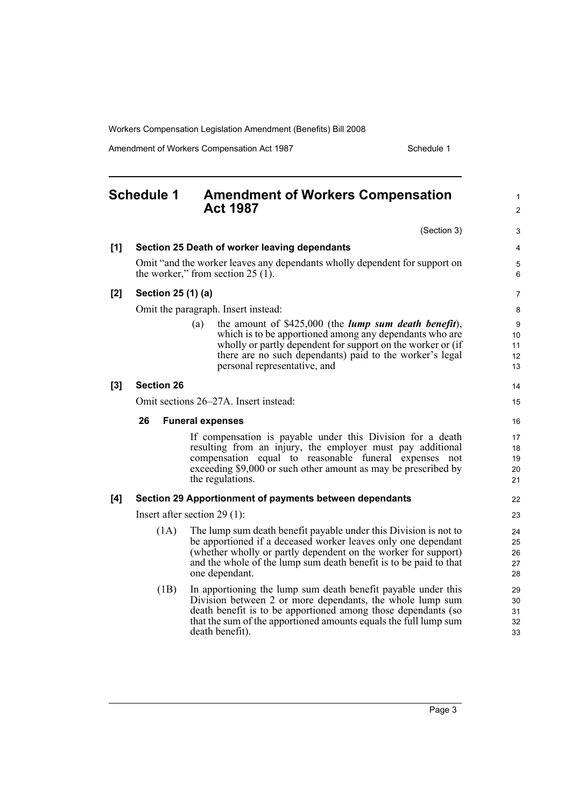Amendment of Workers Compensation Act 1987 Material Schedule 1

<span id="page-8-0"></span>

| <b>Schedule 1</b> |                                                                                                                   | <b>Amendment of Workers Compensation</b><br><b>Act 1987</b>                                                                                                                                                                                                                                 |                            |  |  |
|-------------------|-------------------------------------------------------------------------------------------------------------------|---------------------------------------------------------------------------------------------------------------------------------------------------------------------------------------------------------------------------------------------------------------------------------------------|----------------------------|--|--|
|                   |                                                                                                                   | (Section 3)                                                                                                                                                                                                                                                                                 | 3                          |  |  |
| [1]               |                                                                                                                   | Section 25 Death of worker leaving dependants                                                                                                                                                                                                                                               | 4                          |  |  |
|                   | Omit "and the worker leaves any dependants wholly dependent for support on<br>the worker," from section $25(1)$ . |                                                                                                                                                                                                                                                                                             |                            |  |  |
| $[2]$             | Section 25 (1) (a)                                                                                                |                                                                                                                                                                                                                                                                                             | 7                          |  |  |
|                   |                                                                                                                   | Omit the paragraph. Insert instead:                                                                                                                                                                                                                                                         | 8                          |  |  |
|                   |                                                                                                                   | the amount of $$425,000$ (the <i>lump sum death benefit</i> ),<br>(a)<br>which is to be apportioned among any dependants who are<br>wholly or partly dependent for support on the worker or (if<br>there are no such dependants) paid to the worker's legal<br>personal representative, and | 9<br>10<br>11<br>12<br>13  |  |  |
| $[3]$             | <b>Section 26</b>                                                                                                 |                                                                                                                                                                                                                                                                                             | 14                         |  |  |
|                   |                                                                                                                   | Omit sections 26–27A. Insert instead:                                                                                                                                                                                                                                                       | 15                         |  |  |
|                   | 26<br><b>Funeral expenses</b>                                                                                     |                                                                                                                                                                                                                                                                                             |                            |  |  |
|                   |                                                                                                                   | If compensation is payable under this Division for a death<br>resulting from an injury, the employer must pay additional<br>compensation equal to reasonable funeral expenses not<br>exceeding \$9,000 or such other amount as may be prescribed by<br>the regulations.                     | 17<br>18<br>19<br>20<br>21 |  |  |
| [4]               |                                                                                                                   | Section 29 Apportionment of payments between dependants                                                                                                                                                                                                                                     | 22                         |  |  |
|                   |                                                                                                                   | Insert after section $29(1)$ :                                                                                                                                                                                                                                                              | 23                         |  |  |
|                   | (1A)                                                                                                              | The lump sum death benefit payable under this Division is not to<br>be apportioned if a deceased worker leaves only one dependant<br>(whether wholly or partly dependent on the worker for support)<br>and the whole of the lump sum death benefit is to be paid to that<br>one dependant.  | 24<br>25<br>26<br>27<br>28 |  |  |
|                   | (1B)                                                                                                              | In apportioning the lump sum death benefit payable under this<br>Division between 2 or more dependants, the whole lump sum<br>death benefit is to be apportioned among those dependants (so<br>that the sum of the apportioned amounts equals the full lump sum<br>death benefit).          | 29<br>30<br>31<br>32<br>33 |  |  |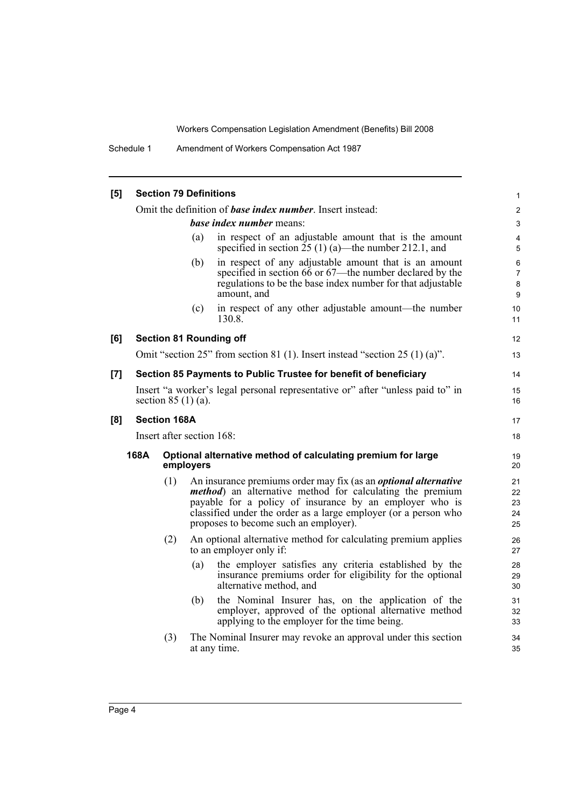Schedule 1 Amendment of Workers Compensation Act 1987

| [5] | <b>Section 79 Definitions</b>                                                                                          |                                                                                                        |                                       |                                                                                                                                                                                                                                                                           |                               |  |
|-----|------------------------------------------------------------------------------------------------------------------------|--------------------------------------------------------------------------------------------------------|---------------------------------------|---------------------------------------------------------------------------------------------------------------------------------------------------------------------------------------------------------------------------------------------------------------------------|-------------------------------|--|
|     | Omit the definition of <b>base index number</b> . Insert instead:                                                      |                                                                                                        |                                       |                                                                                                                                                                                                                                                                           |                               |  |
|     |                                                                                                                        | base index number means:                                                                               |                                       |                                                                                                                                                                                                                                                                           |                               |  |
|     | in respect of an adjustable amount that is the amount<br>(a)<br>specified in section $25(1)(a)$ —the number 212.1, and |                                                                                                        |                                       |                                                                                                                                                                                                                                                                           |                               |  |
|     |                                                                                                                        |                                                                                                        | (b)<br>amount, and                    | in respect of any adjustable amount that is an amount<br>specified in section 66 or 67—the number declared by the<br>regulations to be the base index number for that adjustable                                                                                          | 6<br>$\overline{7}$<br>8<br>9 |  |
|     |                                                                                                                        |                                                                                                        | (c)<br>130.8.                         | in respect of any other adjustable amount—the number                                                                                                                                                                                                                      | 10<br>11                      |  |
| [6] |                                                                                                                        |                                                                                                        | <b>Section 81 Rounding off</b>        |                                                                                                                                                                                                                                                                           | 12                            |  |
|     |                                                                                                                        |                                                                                                        |                                       | Omit "section 25" from section 81 (1). Insert instead "section 25 (1) (a)".                                                                                                                                                                                               | 13                            |  |
| [7] | Section 85 Payments to Public Trustee for benefit of beneficiary                                                       |                                                                                                        |                                       |                                                                                                                                                                                                                                                                           | 14                            |  |
|     |                                                                                                                        | Insert "a worker's legal personal representative or" after "unless paid to" in<br>section $85(1)(a)$ . |                                       |                                                                                                                                                                                                                                                                           |                               |  |
| [8] | <b>Section 168A</b><br>Insert after section 168:                                                                       |                                                                                                        |                                       | 17                                                                                                                                                                                                                                                                        |                               |  |
|     |                                                                                                                        |                                                                                                        |                                       | 18                                                                                                                                                                                                                                                                        |                               |  |
|     | 168A<br>Optional alternative method of calculating premium for large<br>employers                                      |                                                                                                        |                                       | 19<br>20                                                                                                                                                                                                                                                                  |                               |  |
|     |                                                                                                                        | (1)                                                                                                    | proposes to become such an employer). | An insurance premiums order may fix (as an <i>optional alternative</i><br><i>method</i> ) an alternative method for calculating the premium<br>payable for a policy of insurance by an employer who is<br>classified under the order as a large employer (or a person who | 21<br>22<br>23<br>24<br>25    |  |
|     |                                                                                                                        | (2)                                                                                                    | to an employer only if:               | An optional alternative method for calculating premium applies                                                                                                                                                                                                            | 26<br>27                      |  |
|     |                                                                                                                        |                                                                                                        | (a)<br>alternative method, and        | the employer satisfies any criteria established by the<br>insurance premiums order for eligibility for the optional                                                                                                                                                       | 28<br>29<br>30                |  |
|     |                                                                                                                        |                                                                                                        | (b)                                   | the Nominal Insurer has, on the application of the<br>employer, approved of the optional alternative method<br>applying to the employer for the time being.                                                                                                               | 31<br>32<br>33                |  |
|     |                                                                                                                        | (3)                                                                                                    | at any time.                          | The Nominal Insurer may revoke an approval under this section                                                                                                                                                                                                             | 34<br>35                      |  |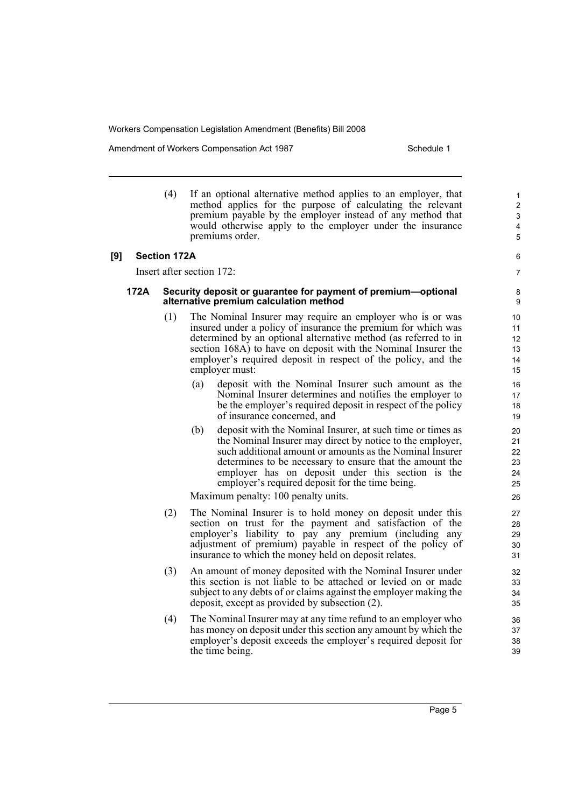Amendment of Workers Compensation Act 1987 New York Schedule 1

6 7

(4) If an optional alternative method applies to an employer, that method applies for the purpose of calculating the relevant premium payable by the employer instead of any method that would otherwise apply to the employer under the insurance premiums order.

#### **[9] Section 172A**

Insert after section 172:

#### **172A Security deposit or guarantee for payment of premium—optional alternative premium calculation method**

- (1) The Nominal Insurer may require an employer who is or was insured under a policy of insurance the premium for which was determined by an optional alternative method (as referred to in section 168A) to have on deposit with the Nominal Insurer the employer's required deposit in respect of the policy, and the employer must:
	- (a) deposit with the Nominal Insurer such amount as the Nominal Insurer determines and notifies the employer to be the employer's required deposit in respect of the policy of insurance concerned, and
	- (b) deposit with the Nominal Insurer, at such time or times as the Nominal Insurer may direct by notice to the employer, such additional amount or amounts as the Nominal Insurer determines to be necessary to ensure that the amount the employer has on deposit under this section is the employer's required deposit for the time being.

Maximum penalty: 100 penalty units.

- (2) The Nominal Insurer is to hold money on deposit under this section on trust for the payment and satisfaction of the employer's liability to pay any premium (including any adjustment of premium) payable in respect of the policy of insurance to which the money held on deposit relates.
- (3) An amount of money deposited with the Nominal Insurer under this section is not liable to be attached or levied on or made subject to any debts of or claims against the employer making the deposit, except as provided by subsection (2).
- (4) The Nominal Insurer may at any time refund to an employer who has money on deposit under this section any amount by which the employer's deposit exceeds the employer's required deposit for the time being.

Page 5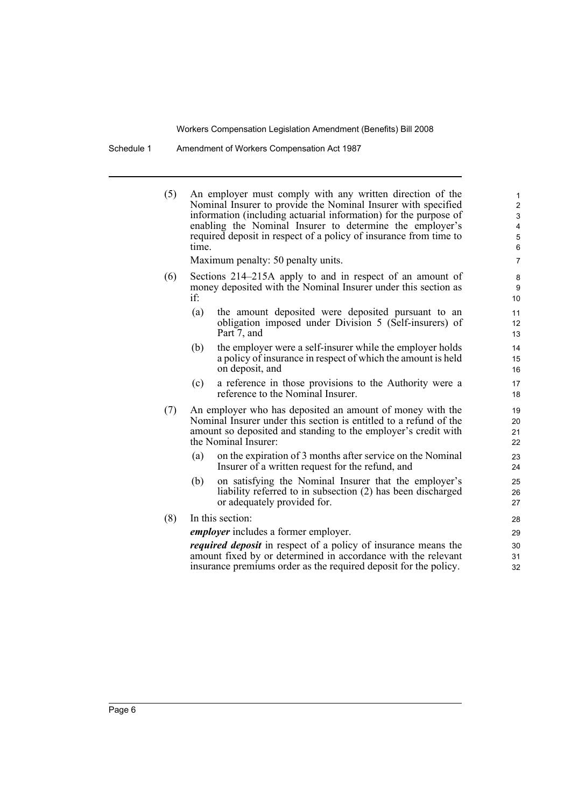Schedule 1 Amendment of Workers Compensation Act 1987

| (5) | An employer must comply with any written direction of the<br>Nominal Insurer to provide the Nominal Insurer with specified<br>information (including actuarial information) for the purpose of<br>enabling the Nominal Insurer to determine the employer's<br>required deposit in respect of a policy of insurance from time to<br>time.<br>Maximum penalty: 50 penalty units. | $\mathbf{1}$<br>$\overline{2}$<br>3<br>4<br>5<br>6<br>$\overline{7}$                                                                                                                                                     |                      |
|-----|--------------------------------------------------------------------------------------------------------------------------------------------------------------------------------------------------------------------------------------------------------------------------------------------------------------------------------------------------------------------------------|--------------------------------------------------------------------------------------------------------------------------------------------------------------------------------------------------------------------------|----------------------|
| (6) | Sections 214–215A apply to and in respect of an amount of<br>money deposited with the Nominal Insurer under this section as<br>if:                                                                                                                                                                                                                                             | 8<br>9<br>10 <sup>°</sup>                                                                                                                                                                                                |                      |
|     | (a)                                                                                                                                                                                                                                                                                                                                                                            | the amount deposited were deposited pursuant to an<br>obligation imposed under Division 5 (Self-insurers) of<br>Part 7, and                                                                                              | 11<br>12<br>13       |
|     | (b)                                                                                                                                                                                                                                                                                                                                                                            | the employer were a self-insurer while the employer holds<br>a policy of insurance in respect of which the amount is held<br>on deposit, and                                                                             | 14<br>15<br>16       |
|     | (c)                                                                                                                                                                                                                                                                                                                                                                            | a reference in those provisions to the Authority were a<br>reference to the Nominal Insurer.                                                                                                                             | 17<br>18             |
| (7) |                                                                                                                                                                                                                                                                                                                                                                                | An employer who has deposited an amount of money with the<br>Nominal Insurer under this section is entitled to a refund of the<br>amount so deposited and standing to the employer's credit with<br>the Nominal Insurer: | 19<br>20<br>21<br>22 |
|     | (a)                                                                                                                                                                                                                                                                                                                                                                            | on the expiration of 3 months after service on the Nominal<br>Insurer of a written request for the refund, and                                                                                                           | 23<br>24             |
|     | (b)                                                                                                                                                                                                                                                                                                                                                                            | on satisfying the Nominal Insurer that the employer's<br>liability referred to in subsection (2) has been discharged<br>or adequately provided for.                                                                      | 25<br>26<br>27       |
| (8) |                                                                                                                                                                                                                                                                                                                                                                                | In this section:                                                                                                                                                                                                         | 28                   |
|     |                                                                                                                                                                                                                                                                                                                                                                                | <i>employer</i> includes a former employer.                                                                                                                                                                              | 29                   |
|     |                                                                                                                                                                                                                                                                                                                                                                                | <i>required deposit</i> in respect of a policy of insurance means the<br>amount fixed by or determined in accordance with the relevant<br>insurance premiums order as the required deposit for the policy.               | 30<br>31<br>32       |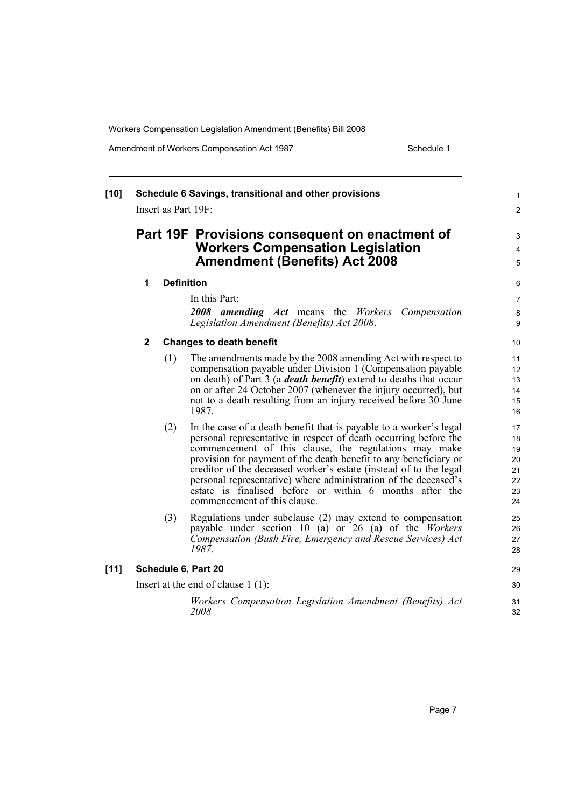Amendment of Workers Compensation Act 1987 Material Schedule 1

| $[10]$ | Schedule 6 Savings, transitional and other provisions<br>Insert as Part 19F:                                                      |                   |                                                                                                                                                                                                                                                                                                                                                                                                                                                                                                        |                                              |  |
|--------|-----------------------------------------------------------------------------------------------------------------------------------|-------------------|--------------------------------------------------------------------------------------------------------------------------------------------------------------------------------------------------------------------------------------------------------------------------------------------------------------------------------------------------------------------------------------------------------------------------------------------------------------------------------------------------------|----------------------------------------------|--|
|        | Part 19F Provisions consequent on enactment of<br><b>Workers Compensation Legislation</b><br><b>Amendment (Benefits) Act 2008</b> |                   |                                                                                                                                                                                                                                                                                                                                                                                                                                                                                                        |                                              |  |
|        | $\mathbf 1$                                                                                                                       | <b>Definition</b> |                                                                                                                                                                                                                                                                                                                                                                                                                                                                                                        |                                              |  |
|        |                                                                                                                                   |                   | In this Part:<br>2008 amending Act means the Workers Compensation<br>Legislation Amendment (Benefits) Act 2008.                                                                                                                                                                                                                                                                                                                                                                                        | $\overline{7}$<br>8<br>$\boldsymbol{9}$      |  |
|        | $\mathbf 2$                                                                                                                       |                   | <b>Changes to death benefit</b>                                                                                                                                                                                                                                                                                                                                                                                                                                                                        | 10                                           |  |
|        |                                                                                                                                   | (1)               | The amendments made by the 2008 amending Act with respect to<br>compensation payable under Division 1 (Compensation payable<br>on death) of Part 3 (a <i>death benefit</i> ) extend to deaths that occur<br>on or after 24 October 2007 (whenever the injury occurred), but<br>not to a death resulting from an injury received before 30 June<br>1987.                                                                                                                                                | 11<br>12<br>13<br>14<br>15<br>16             |  |
|        |                                                                                                                                   | (2)               | In the case of a death benefit that is payable to a worker's legal<br>personal representative in respect of death occurring before the<br>commencement of this clause, the regulations may make<br>provision for payment of the death benefit to any beneficiary or<br>creditor of the deceased worker's estate (instead of to the legal<br>personal representative) where administration of the deceased's<br>estate is finalised before or within 6 months after the<br>commencement of this clause. | 17<br>18<br>19<br>20<br>21<br>22<br>23<br>24 |  |
|        |                                                                                                                                   | (3)               | Regulations under subclause (2) may extend to compensation<br>payable under section 10 (a) or 26 (a) of the <i>Workers</i><br>Compensation (Bush Fire, Emergency and Rescue Services) Act<br>1987.                                                                                                                                                                                                                                                                                                     | 25<br>26<br>27<br>28                         |  |
| $[11]$ | Schedule 6, Part 20                                                                                                               |                   |                                                                                                                                                                                                                                                                                                                                                                                                                                                                                                        |                                              |  |
|        | Insert at the end of clause $1(1)$ :                                                                                              |                   |                                                                                                                                                                                                                                                                                                                                                                                                                                                                                                        |                                              |  |
|        |                                                                                                                                   |                   | Workers Compensation Legislation Amendment (Benefits) Act<br>2008                                                                                                                                                                                                                                                                                                                                                                                                                                      | 31<br>32                                     |  |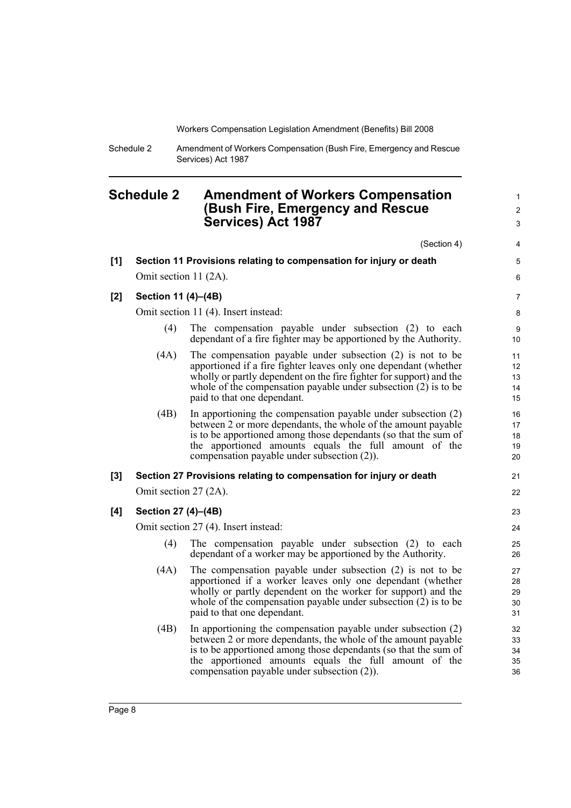1  $\mathfrak{p}$ 

Schedule 2 Amendment of Workers Compensation (Bush Fire, Emergency and Rescue Services) Act 1987

## <span id="page-13-0"></span>**Schedule 2 Amendment of Workers Compensation (Bush Fire, Emergency and Rescue Services) Act 1987**

(Section 4) **[1] Section 11 Provisions relating to compensation for injury or death** Omit section 11 (2A). **[2] Section 11 (4)–(4B)** Omit section 11 (4). Insert instead: (4) The compensation payable under subsection (2) to each dependant of a fire fighter may be apportioned by the Authority. (4A) The compensation payable under subsection (2) is not to be apportioned if a fire fighter leaves only one dependant (whether wholly or partly dependent on the fire fighter for support) and the whole of the compensation payable under subsection (2) is to be paid to that one dependant. (4B) In apportioning the compensation payable under subsection (2) between 2 or more dependants, the whole of the amount payable is to be apportioned among those dependants (so that the sum of the apportioned amounts equals the full amount of the compensation payable under subsection (2)). **[3] Section 27 Provisions relating to compensation for injury or death** Omit section 27 (2A). **[4] Section 27 (4)–(4B)** Omit section 27 (4). Insert instead: (4) The compensation payable under subsection (2) to each dependant of a worker may be apportioned by the Authority. (4A) The compensation payable under subsection (2) is not to be apportioned if a worker leaves only one dependant (whether wholly or partly dependent on the worker for support) and the whole of the compensation payable under subsection (2) is to be paid to that one dependant. (4B) In apportioning the compensation payable under subsection (2) between 2 or more dependants, the whole of the amount payable is to be apportioned among those dependants (so that the sum of the apportioned amounts equals the full amount of the compensation payable under subsection (2)). 3 4 5 6 7 8 **9** 10 11 12 13 14 15 16 17 18 19 20 21 22 23 24 25 26 27 28 29 30 31 32 33 34 35 36